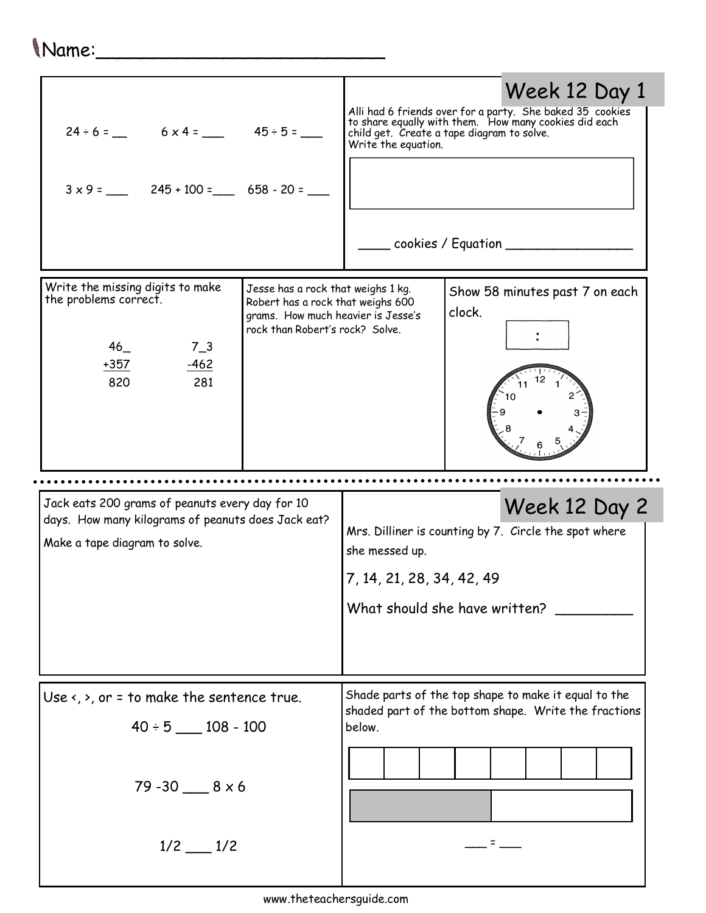## Name:\_\_\_\_\_\_\_\_\_\_\_\_\_\_\_\_\_\_\_\_\_\_\_\_\_

| $24 \div 6 =$ 6 x 4 = 45 ÷ 5 = ___<br>$3 \times 9 =$ 245 + 100 = 658 - 20 = _                                                                                                                                                                                       |  | Alli had 6 friends over for a party. She baked 35 cookies<br>to share equally with them. How many cookies did each<br>child get. Create a tape diagram to solve.<br>Write the equation. | ____ cookies / Equation _________ | Week 12 Day 1 |  |
|---------------------------------------------------------------------------------------------------------------------------------------------------------------------------------------------------------------------------------------------------------------------|--|-----------------------------------------------------------------------------------------------------------------------------------------------------------------------------------------|-----------------------------------|---------------|--|
| Write the missing digits to make<br>Jesse has a rock that weighs 1 kg.<br>the problems correct.<br>Robert has a rock that weighs 600<br>grams. How much heavier is Jesse's<br>rock than Robert's rock? Solve.<br>46<br>$7-3$<br>$-462$<br><u>+357</u><br>281<br>820 |  | Show 58 minutes past 7 on each<br>clock.                                                                                                                                                |                                   |               |  |
|                                                                                                                                                                                                                                                                     |  |                                                                                                                                                                                         |                                   |               |  |
| Jack eats 200 grams of peanuts every day for 10<br>days. How many kilograms of peanuts does Jack eat?<br>Make a tape diagram to solve.                                                                                                                              |  | Week 12 Day 2<br>Mrs. Dilliner is counting by 7. Circle the spot where<br>she messed up.<br>7, 14, 21, 28, 34, 42, 49<br>What should she have written?                                  |                                   |               |  |
| Use $\langle$ , $\rangle$ , or = to make the sentence true.                                                                                                                                                                                                         |  | Shade parts of the top shape to make it equal to the                                                                                                                                    |                                   |               |  |
| $40 \div 5$ 108 - 100                                                                                                                                                                                                                                               |  | shaded part of the bottom shape. Write the fractions<br>below.                                                                                                                          |                                   |               |  |
|                                                                                                                                                                                                                                                                     |  |                                                                                                                                                                                         |                                   |               |  |
| $79 - 30$ ___ 8 x 6                                                                                                                                                                                                                                                 |  |                                                                                                                                                                                         |                                   |               |  |
| $1/2$ 1/2                                                                                                                                                                                                                                                           |  |                                                                                                                                                                                         |                                   |               |  |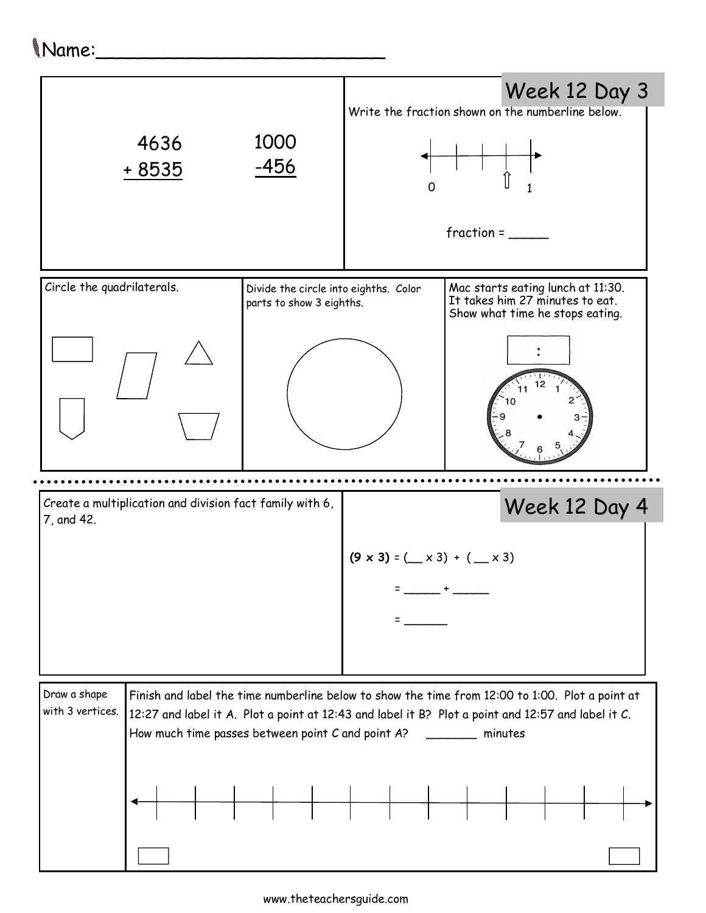## Name:\_\_\_\_\_\_\_\_\_\_\_\_\_\_\_\_\_\_\_\_\_\_\_\_\_